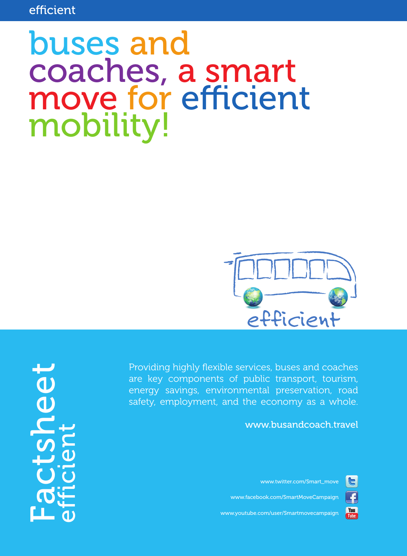# buses and coaches, a smart move for efficient mobility!



Providing highly flexible services, buses and coaches are key components of public transport, tourism, energy savings, environmental preservation, road safety, employment, and the economy as a whole.

# www.busandcoach.travel

www.twitter.com/Smart\_move

IE.

£

You<br>Tube

www.facebook.com/SmartMoveCampaign

www.youtube.com/user/Smartmovecampaign

Factsheet efficient